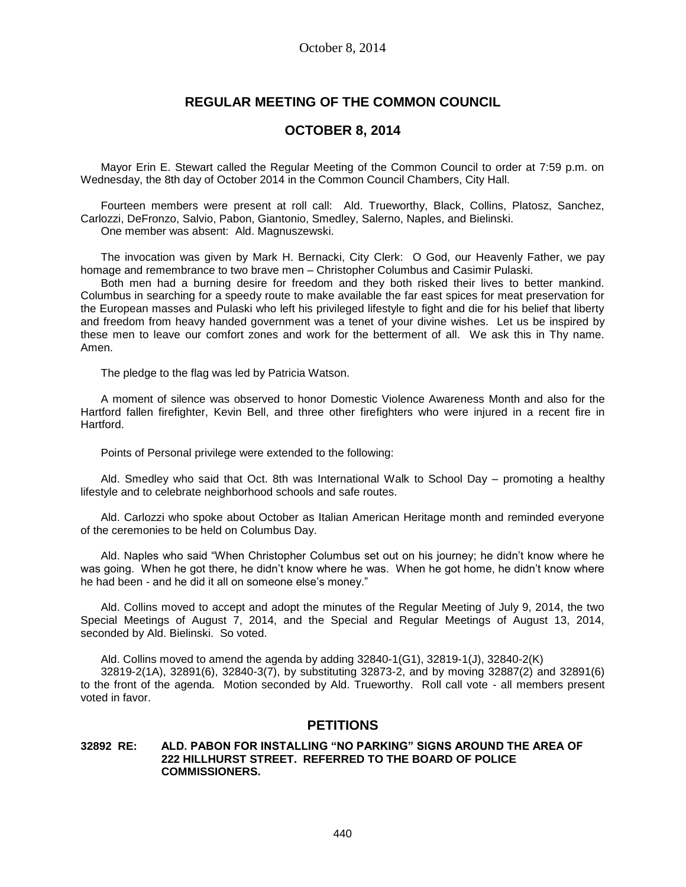# **REGULAR MEETING OF THE COMMON COUNCIL**

## **OCTOBER 8, 2014**

Mayor Erin E. Stewart called the Regular Meeting of the Common Council to order at 7:59 p.m. on Wednesday, the 8th day of October 2014 in the Common Council Chambers, City Hall.

Fourteen members were present at roll call: Ald. Trueworthy, Black, Collins, Platosz, Sanchez, Carlozzi, DeFronzo, Salvio, Pabon, Giantonio, Smedley, Salerno, Naples, and Bielinski. One member was absent: Ald. Magnuszewski.

The invocation was given by Mark H. Bernacki, City Clerk: O God, our Heavenly Father, we pay homage and remembrance to two brave men – Christopher Columbus and Casimir Pulaski.

Both men had a burning desire for freedom and they both risked their lives to better mankind. Columbus in searching for a speedy route to make available the far east spices for meat preservation for the European masses and Pulaski who left his privileged lifestyle to fight and die for his belief that liberty and freedom from heavy handed government was a tenet of your divine wishes. Let us be inspired by these men to leave our comfort zones and work for the betterment of all. We ask this in Thy name. Amen.

The pledge to the flag was led by Patricia Watson.

A moment of silence was observed to honor Domestic Violence Awareness Month and also for the Hartford fallen firefighter, Kevin Bell, and three other firefighters who were injured in a recent fire in Hartford.

Points of Personal privilege were extended to the following:

Ald. Smedley who said that Oct. 8th was International Walk to School Day – promoting a healthy lifestyle and to celebrate neighborhood schools and safe routes.

Ald. Carlozzi who spoke about October as Italian American Heritage month and reminded everyone of the ceremonies to be held on Columbus Day.

Ald. Naples who said "When Christopher Columbus set out on his journey; he didn't know where he was going. When he got there, he didn't know where he was. When he got home, he didn't know where he had been - and he did it all on someone else's money."

Ald. Collins moved to accept and adopt the minutes of the Regular Meeting of July 9, 2014, the two Special Meetings of August 7, 2014, and the Special and Regular Meetings of August 13, 2014, seconded by Ald. Bielinski. So voted.

Ald. Collins moved to amend the agenda by adding 32840-1(G1), 32819-1(J), 32840-2(K) 32819-2(1A), 32891(6), 32840-3(7), by substituting 32873-2, and by moving 32887(2) and 32891(6) to the front of the agenda. Motion seconded by Ald. Trueworthy. Roll call vote - all members present voted in favor.

# **PETITIONS**

### **32892 RE: ALD. PABON FOR INSTALLING "NO PARKING" SIGNS AROUND THE AREA OF 222 HILLHURST STREET. REFERRED TO THE BOARD OF POLICE COMMISSIONERS.**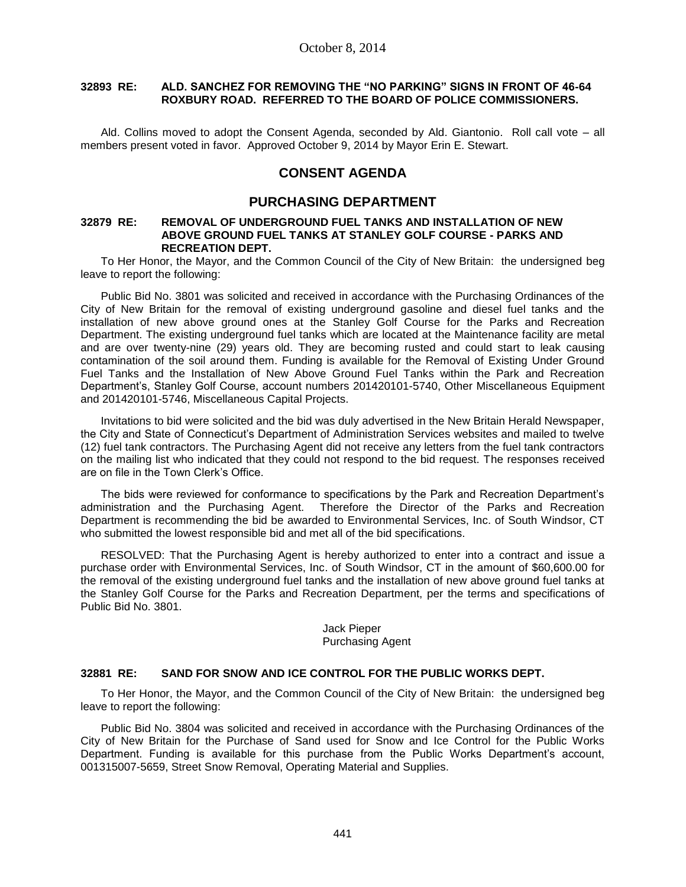## **32893 RE: ALD. SANCHEZ FOR REMOVING THE "NO PARKING" SIGNS IN FRONT OF 46-64 ROXBURY ROAD. REFERRED TO THE BOARD OF POLICE COMMISSIONERS.**

Ald. Collins moved to adopt the Consent Agenda, seconded by Ald. Giantonio. Roll call vote – all members present voted in favor. Approved October 9, 2014 by Mayor Erin E. Stewart.

# **CONSENT AGENDA**

## **PURCHASING DEPARTMENT**

### **32879 RE: REMOVAL OF UNDERGROUND FUEL TANKS AND INSTALLATION OF NEW ABOVE GROUND FUEL TANKS AT STANLEY GOLF COURSE - PARKS AND RECREATION DEPT.**

To Her Honor, the Mayor, and the Common Council of the City of New Britain: the undersigned beg leave to report the following:

Public Bid No. 3801 was solicited and received in accordance with the Purchasing Ordinances of the City of New Britain for the removal of existing underground gasoline and diesel fuel tanks and the installation of new above ground ones at the Stanley Golf Course for the Parks and Recreation Department. The existing underground fuel tanks which are located at the Maintenance facility are metal and are over twenty-nine (29) years old. They are becoming rusted and could start to leak causing contamination of the soil around them. Funding is available for the Removal of Existing Under Ground Fuel Tanks and the Installation of New Above Ground Fuel Tanks within the Park and Recreation Department's, Stanley Golf Course, account numbers 201420101-5740, Other Miscellaneous Equipment and 201420101-5746, Miscellaneous Capital Projects.

Invitations to bid were solicited and the bid was duly advertised in the New Britain Herald Newspaper, the City and State of Connecticut's Department of Administration Services websites and mailed to twelve (12) fuel tank contractors. The Purchasing Agent did not receive any letters from the fuel tank contractors on the mailing list who indicated that they could not respond to the bid request. The responses received are on file in the Town Clerk's Office.

The bids were reviewed for conformance to specifications by the Park and Recreation Department's administration and the Purchasing Agent. Therefore the Director of the Parks and Recreation Department is recommending the bid be awarded to Environmental Services, Inc. of South Windsor, CT who submitted the lowest responsible bid and met all of the bid specifications.

RESOLVED: That the Purchasing Agent is hereby authorized to enter into a contract and issue a purchase order with Environmental Services, Inc. of South Windsor, CT in the amount of \$60,600.00 for the removal of the existing underground fuel tanks and the installation of new above ground fuel tanks at the Stanley Golf Course for the Parks and Recreation Department, per the terms and specifications of Public Bid No. 3801.

## Jack Pieper Purchasing Agent

## **32881 RE: SAND FOR SNOW AND ICE CONTROL FOR THE PUBLIC WORKS DEPT.**

To Her Honor, the Mayor, and the Common Council of the City of New Britain: the undersigned beg leave to report the following:

Public Bid No. 3804 was solicited and received in accordance with the Purchasing Ordinances of the City of New Britain for the Purchase of Sand used for Snow and Ice Control for the Public Works Department. Funding is available for this purchase from the Public Works Department's account, 001315007-5659, Street Snow Removal, Operating Material and Supplies.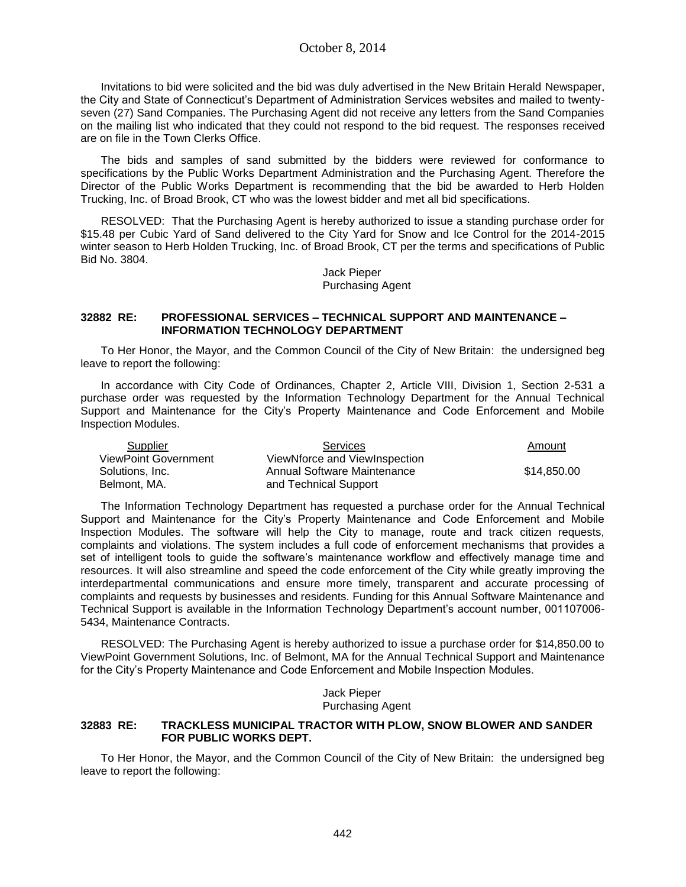Invitations to bid were solicited and the bid was duly advertised in the New Britain Herald Newspaper, the City and State of Connecticut's Department of Administration Services websites and mailed to twentyseven (27) Sand Companies. The Purchasing Agent did not receive any letters from the Sand Companies on the mailing list who indicated that they could not respond to the bid request. The responses received are on file in the Town Clerks Office.

The bids and samples of sand submitted by the bidders were reviewed for conformance to specifications by the Public Works Department Administration and the Purchasing Agent. Therefore the Director of the Public Works Department is recommending that the bid be awarded to Herb Holden Trucking, Inc. of Broad Brook, CT who was the lowest bidder and met all bid specifications.

RESOLVED: That the Purchasing Agent is hereby authorized to issue a standing purchase order for \$15.48 per Cubic Yard of Sand delivered to the City Yard for Snow and Ice Control for the 2014-2015 winter season to Herb Holden Trucking, Inc. of Broad Brook, CT per the terms and specifications of Public Bid No. 3804.

> Jack Pieper Purchasing Agent

### **32882 RE: PROFESSIONAL SERVICES – TECHNICAL SUPPORT AND MAINTENANCE – INFORMATION TECHNOLOGY DEPARTMENT**

To Her Honor, the Mayor, and the Common Council of the City of New Britain: the undersigned beg leave to report the following:

In accordance with City Code of Ordinances, Chapter 2, Article VIII, Division 1, Section 2-531 a purchase order was requested by the Information Technology Department for the Annual Technical Support and Maintenance for the City's Property Maintenance and Code Enforcement and Mobile Inspection Modules.

| Supplier                    | <b>Services</b>               | Amount      |
|-----------------------------|-------------------------------|-------------|
| <b>ViewPoint Government</b> | ViewNforce and ViewInspection |             |
| Solutions, Inc.             | Annual Software Maintenance   | \$14,850.00 |
| Belmont, MA.                | and Technical Support         |             |

The Information Technology Department has requested a purchase order for the Annual Technical Support and Maintenance for the City's Property Maintenance and Code Enforcement and Mobile Inspection Modules. The software will help the City to manage, route and track citizen requests, complaints and violations. The system includes a full code of enforcement mechanisms that provides a set of intelligent tools to guide the software's maintenance workflow and effectively manage time and resources. It will also streamline and speed the code enforcement of the City while greatly improving the interdepartmental communications and ensure more timely, transparent and accurate processing of complaints and requests by businesses and residents. Funding for this Annual Software Maintenance and Technical Support is available in the Information Technology Department's account number, 001107006- 5434, Maintenance Contracts.

RESOLVED: The Purchasing Agent is hereby authorized to issue a purchase order for \$14,850.00 to ViewPoint Government Solutions, Inc. of Belmont, MA for the Annual Technical Support and Maintenance for the City's Property Maintenance and Code Enforcement and Mobile Inspection Modules.

> Jack Pieper Purchasing Agent

### **32883 RE: TRACKLESS MUNICIPAL TRACTOR WITH PLOW, SNOW BLOWER AND SANDER FOR PUBLIC WORKS DEPT.**

To Her Honor, the Mayor, and the Common Council of the City of New Britain: the undersigned beg leave to report the following: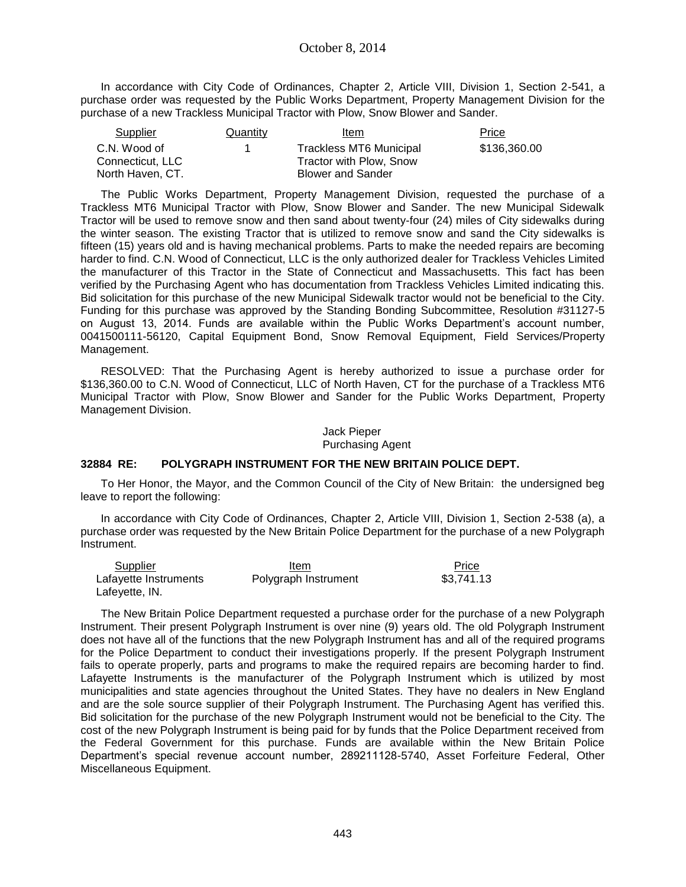In accordance with City Code of Ordinances, Chapter 2, Article VIII, Division 1, Section 2-541, a purchase order was requested by the Public Works Department, Property Management Division for the purchase of a new Trackless Municipal Tractor with Plow, Snow Blower and Sander.

| Supplier         | Quantity | Item                           | Price        |
|------------------|----------|--------------------------------|--------------|
| C.N. Wood of     |          | <b>Trackless MT6 Municipal</b> | \$136,360.00 |
| Connecticut. LLC |          | Tractor with Plow. Snow        |              |
| North Haven, CT. |          | <b>Blower and Sander</b>       |              |

The Public Works Department, Property Management Division, requested the purchase of a Trackless MT6 Municipal Tractor with Plow, Snow Blower and Sander. The new Municipal Sidewalk Tractor will be used to remove snow and then sand about twenty-four (24) miles of City sidewalks during the winter season. The existing Tractor that is utilized to remove snow and sand the City sidewalks is fifteen (15) years old and is having mechanical problems. Parts to make the needed repairs are becoming harder to find. C.N. Wood of Connecticut, LLC is the only authorized dealer for Trackless Vehicles Limited the manufacturer of this Tractor in the State of Connecticut and Massachusetts. This fact has been verified by the Purchasing Agent who has documentation from Trackless Vehicles Limited indicating this. Bid solicitation for this purchase of the new Municipal Sidewalk tractor would not be beneficial to the City. Funding for this purchase was approved by the Standing Bonding Subcommittee, Resolution #31127-5 on August 13, 2014. Funds are available within the Public Works Department's account number, 0041500111-56120, Capital Equipment Bond, Snow Removal Equipment, Field Services/Property Management.

RESOLVED: That the Purchasing Agent is hereby authorized to issue a purchase order for \$136,360.00 to C.N. Wood of Connecticut, LLC of North Haven, CT for the purchase of a Trackless MT6 Municipal Tractor with Plow, Snow Blower and Sander for the Public Works Department, Property Management Division.

> Jack Pieper Purchasing Agent

## **32884 RE: POLYGRAPH INSTRUMENT FOR THE NEW BRITAIN POLICE DEPT.**

To Her Honor, the Mayor, and the Common Council of the City of New Britain: the undersigned beg leave to report the following:

In accordance with City Code of Ordinances, Chapter 2, Article VIII, Division 1, Section 2-538 (a), a purchase order was requested by the New Britain Police Department for the purchase of a new Polygraph Instrument.

| Supplier              | Item                 | Price      |
|-----------------------|----------------------|------------|
| Lafayette Instruments | Polygraph Instrument | \$3.741.13 |
| Lafeyette, IN.        |                      |            |

The New Britain Police Department requested a purchase order for the purchase of a new Polygraph Instrument. Their present Polygraph Instrument is over nine (9) years old. The old Polygraph Instrument does not have all of the functions that the new Polygraph Instrument has and all of the required programs for the Police Department to conduct their investigations properly. If the present Polygraph Instrument fails to operate properly, parts and programs to make the required repairs are becoming harder to find. Lafayette Instruments is the manufacturer of the Polygraph Instrument which is utilized by most municipalities and state agencies throughout the United States. They have no dealers in New England and are the sole source supplier of their Polygraph Instrument. The Purchasing Agent has verified this. Bid solicitation for the purchase of the new Polygraph Instrument would not be beneficial to the City. The cost of the new Polygraph Instrument is being paid for by funds that the Police Department received from the Federal Government for this purchase. Funds are available within the New Britain Police Department's special revenue account number, 289211128-5740, Asset Forfeiture Federal, Other Miscellaneous Equipment.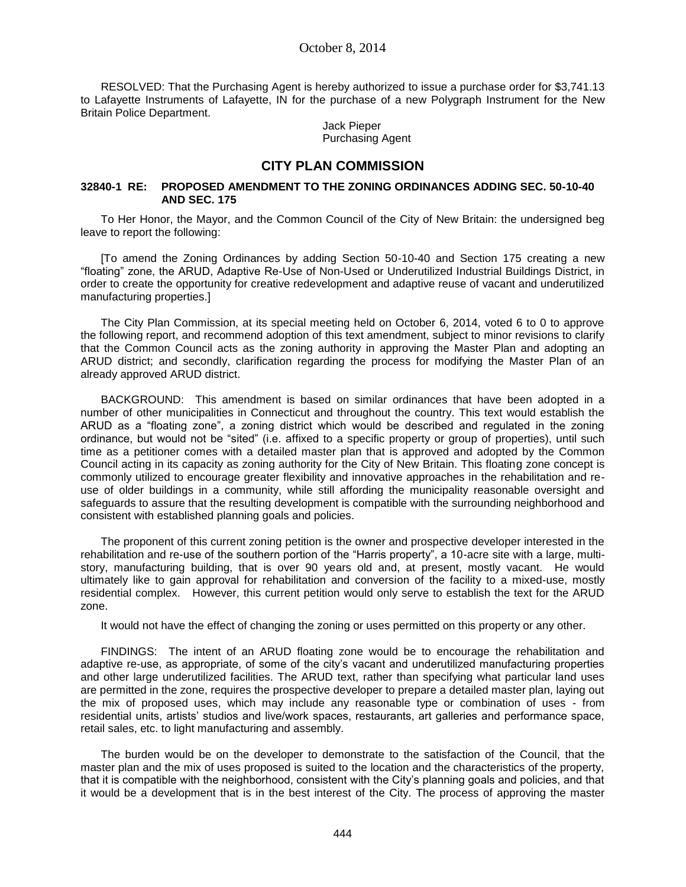RESOLVED: That the Purchasing Agent is hereby authorized to issue a purchase order for \$3,741.13 to Lafayette Instruments of Lafayette, IN for the purchase of a new Polygraph Instrument for the New Britain Police Department.

> Jack Pieper Purchasing Agent

## **CITY PLAN COMMISSION**

## **32840-1 RE: PROPOSED AMENDMENT TO THE ZONING ORDINANCES ADDING SEC. 50-10-40 AND SEC. 175**

To Her Honor, the Mayor, and the Common Council of the City of New Britain: the undersigned beg leave to report the following:

[To amend the Zoning Ordinances by adding Section 50-10-40 and Section 175 creating a new "floating" zone, the ARUD, Adaptive Re-Use of Non-Used or Underutilized Industrial Buildings District, in order to create the opportunity for creative redevelopment and adaptive reuse of vacant and underutilized manufacturing properties.]

The City Plan Commission, at its special meeting held on October 6, 2014, voted 6 to 0 to approve the following report, and recommend adoption of this text amendment, subject to minor revisions to clarify that the Common Council acts as the zoning authority in approving the Master Plan and adopting an ARUD district; and secondly, clarification regarding the process for modifying the Master Plan of an already approved ARUD district.

BACKGROUND: This amendment is based on similar ordinances that have been adopted in a number of other municipalities in Connecticut and throughout the country. This text would establish the ARUD as a "floating zone", a zoning district which would be described and regulated in the zoning ordinance, but would not be "sited" (i.e. affixed to a specific property or group of properties), until such time as a petitioner comes with a detailed master plan that is approved and adopted by the Common Council acting in its capacity as zoning authority for the City of New Britain. This floating zone concept is commonly utilized to encourage greater flexibility and innovative approaches in the rehabilitation and reuse of older buildings in a community, while still affording the municipality reasonable oversight and safeguards to assure that the resulting development is compatible with the surrounding neighborhood and consistent with established planning goals and policies.

The proponent of this current zoning petition is the owner and prospective developer interested in the rehabilitation and re-use of the southern portion of the "Harris property", a 10-acre site with a large, multistory, manufacturing building, that is over 90 years old and, at present, mostly vacant. He would ultimately like to gain approval for rehabilitation and conversion of the facility to a mixed-use, mostly residential complex. However, this current petition would only serve to establish the text for the ARUD zone.

It would not have the effect of changing the zoning or uses permitted on this property or any other.

FINDINGS: The intent of an ARUD floating zone would be to encourage the rehabilitation and adaptive re-use, as appropriate, of some of the city's vacant and underutilized manufacturing properties and other large underutilized facilities. The ARUD text, rather than specifying what particular land uses are permitted in the zone, requires the prospective developer to prepare a detailed master plan, laying out the mix of proposed uses, which may include any reasonable type or combination of uses - from residential units, artists' studios and live/work spaces, restaurants, art galleries and performance space, retail sales, etc. to light manufacturing and assembly.

The burden would be on the developer to demonstrate to the satisfaction of the Council, that the master plan and the mix of uses proposed is suited to the location and the characteristics of the property, that it is compatible with the neighborhood, consistent with the City's planning goals and policies, and that it would be a development that is in the best interest of the City. The process of approving the master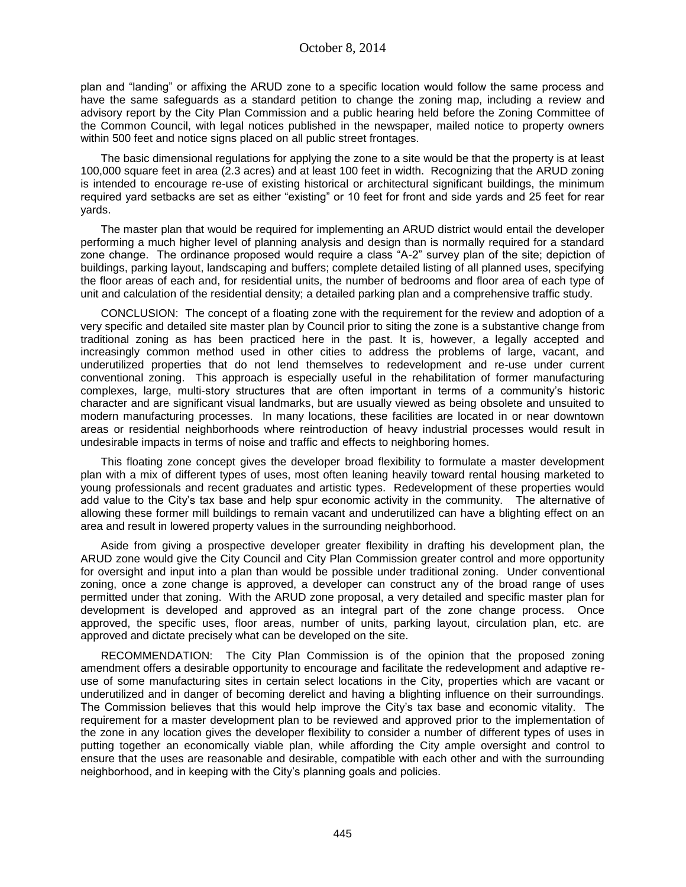plan and "landing" or affixing the ARUD zone to a specific location would follow the same process and have the same safeguards as a standard petition to change the zoning map, including a review and advisory report by the City Plan Commission and a public hearing held before the Zoning Committee of the Common Council, with legal notices published in the newspaper, mailed notice to property owners within 500 feet and notice signs placed on all public street frontages.

The basic dimensional regulations for applying the zone to a site would be that the property is at least 100,000 square feet in area (2.3 acres) and at least 100 feet in width. Recognizing that the ARUD zoning is intended to encourage re-use of existing historical or architectural significant buildings, the minimum required yard setbacks are set as either "existing" or 10 feet for front and side yards and 25 feet for rear yards.

The master plan that would be required for implementing an ARUD district would entail the developer performing a much higher level of planning analysis and design than is normally required for a standard zone change. The ordinance proposed would require a class "A-2" survey plan of the site; depiction of buildings, parking layout, landscaping and buffers; complete detailed listing of all planned uses, specifying the floor areas of each and, for residential units, the number of bedrooms and floor area of each type of unit and calculation of the residential density; a detailed parking plan and a comprehensive traffic study.

CONCLUSION: The concept of a floating zone with the requirement for the review and adoption of a very specific and detailed site master plan by Council prior to siting the zone is a substantive change from traditional zoning as has been practiced here in the past. It is, however, a legally accepted and increasingly common method used in other cities to address the problems of large, vacant, and underutilized properties that do not lend themselves to redevelopment and re-use under current conventional zoning. This approach is especially useful in the rehabilitation of former manufacturing complexes, large, multi-story structures that are often important in terms of a community's historic character and are significant visual landmarks, but are usually viewed as being obsolete and unsuited to modern manufacturing processes. In many locations, these facilities are located in or near downtown areas or residential neighborhoods where reintroduction of heavy industrial processes would result in undesirable impacts in terms of noise and traffic and effects to neighboring homes.

This floating zone concept gives the developer broad flexibility to formulate a master development plan with a mix of different types of uses, most often leaning heavily toward rental housing marketed to young professionals and recent graduates and artistic types. Redevelopment of these properties would add value to the City's tax base and help spur economic activity in the community. The alternative of allowing these former mill buildings to remain vacant and underutilized can have a blighting effect on an area and result in lowered property values in the surrounding neighborhood.

Aside from giving a prospective developer greater flexibility in drafting his development plan, the ARUD zone would give the City Council and City Plan Commission greater control and more opportunity for oversight and input into a plan than would be possible under traditional zoning. Under conventional zoning, once a zone change is approved, a developer can construct any of the broad range of uses permitted under that zoning. With the ARUD zone proposal, a very detailed and specific master plan for development is developed and approved as an integral part of the zone change process. Once approved, the specific uses, floor areas, number of units, parking layout, circulation plan, etc. are approved and dictate precisely what can be developed on the site.

RECOMMENDATION: The City Plan Commission is of the opinion that the proposed zoning amendment offers a desirable opportunity to encourage and facilitate the redevelopment and adaptive reuse of some manufacturing sites in certain select locations in the City, properties which are vacant or underutilized and in danger of becoming derelict and having a blighting influence on their surroundings. The Commission believes that this would help improve the City's tax base and economic vitality. The requirement for a master development plan to be reviewed and approved prior to the implementation of the zone in any location gives the developer flexibility to consider a number of different types of uses in putting together an economically viable plan, while affording the City ample oversight and control to ensure that the uses are reasonable and desirable, compatible with each other and with the surrounding neighborhood, and in keeping with the City's planning goals and policies.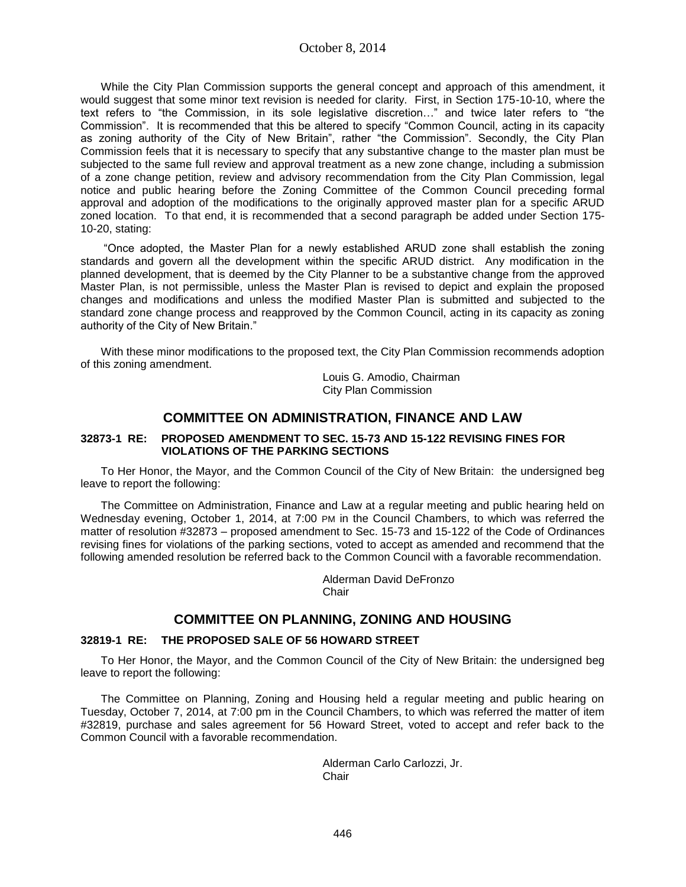While the City Plan Commission supports the general concept and approach of this amendment, it would suggest that some minor text revision is needed for clarity. First, in Section 175-10-10, where the text refers to "the Commission, in its sole legislative discretion…" and twice later refers to "the Commission". It is recommended that this be altered to specify "Common Council, acting in its capacity as zoning authority of the City of New Britain", rather "the Commission". Secondly, the City Plan Commission feels that it is necessary to specify that any substantive change to the master plan must be subjected to the same full review and approval treatment as a new zone change, including a submission of a zone change petition, review and advisory recommendation from the City Plan Commission, legal notice and public hearing before the Zoning Committee of the Common Council preceding formal approval and adoption of the modifications to the originally approved master plan for a specific ARUD zoned location. To that end, it is recommended that a second paragraph be added under Section 175- 10-20, stating:

"Once adopted, the Master Plan for a newly established ARUD zone shall establish the zoning standards and govern all the development within the specific ARUD district. Any modification in the planned development, that is deemed by the City Planner to be a substantive change from the approved Master Plan, is not permissible, unless the Master Plan is revised to depict and explain the proposed changes and modifications and unless the modified Master Plan is submitted and subjected to the standard zone change process and reapproved by the Common Council, acting in its capacity as zoning authority of the City of New Britain."

With these minor modifications to the proposed text, the City Plan Commission recommends adoption of this zoning amendment.

> Louis G. Amodio, Chairman City Plan Commission

## **COMMITTEE ON ADMINISTRATION, FINANCE AND LAW**

## **32873-1 RE: PROPOSED AMENDMENT TO SEC. 15-73 AND 15-122 REVISING FINES FOR VIOLATIONS OF THE PARKING SECTIONS**

To Her Honor, the Mayor, and the Common Council of the City of New Britain: the undersigned beg leave to report the following:

The Committee on Administration, Finance and Law at a regular meeting and public hearing held on Wednesday evening, October 1, 2014, at 7:00 PM in the Council Chambers, to which was referred the matter of resolution #32873 – proposed amendment to Sec. 15-73 and 15-122 of the Code of Ordinances revising fines for violations of the parking sections, voted to accept as amended and recommend that the following amended resolution be referred back to the Common Council with a favorable recommendation.

> Alderman David DeFronzo **Chair**

# **COMMITTEE ON PLANNING, ZONING AND HOUSING**

## **32819-1 RE: THE PROPOSED SALE OF 56 HOWARD STREET**

To Her Honor, the Mayor, and the Common Council of the City of New Britain: the undersigned beg leave to report the following:

The Committee on Planning, Zoning and Housing held a regular meeting and public hearing on Tuesday, October 7, 2014, at 7:00 pm in the Council Chambers, to which was referred the matter of item #32819, purchase and sales agreement for 56 Howard Street, voted to accept and refer back to the Common Council with a favorable recommendation.

> Alderman Carlo Carlozzi, Jr. **Chair**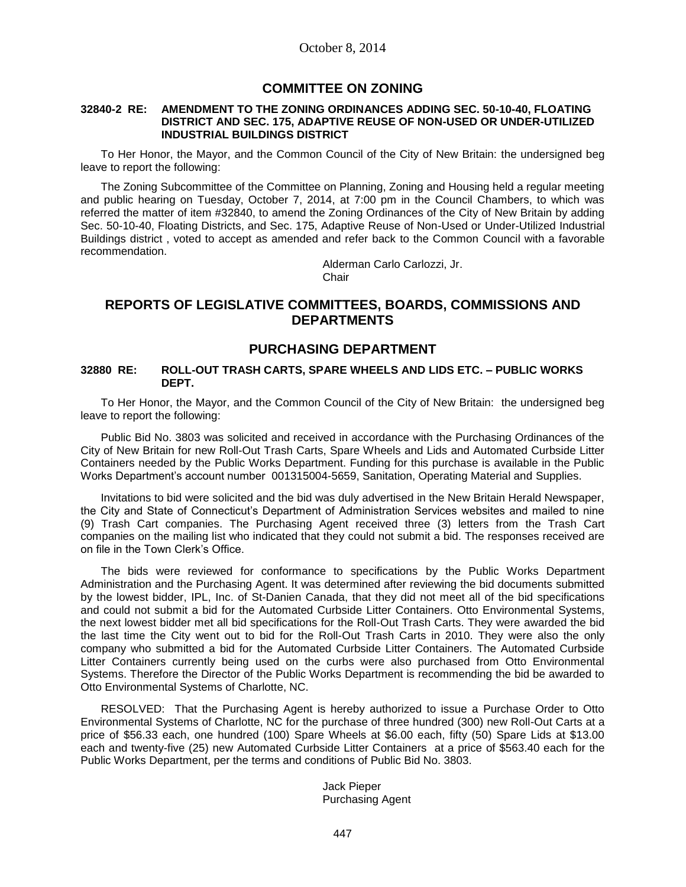## **COMMITTEE ON ZONING**

#### **32840-2 RE: AMENDMENT TO THE ZONING ORDINANCES ADDING SEC. 50-10-40, FLOATING DISTRICT AND SEC. 175, ADAPTIVE REUSE OF NON-USED OR UNDER-UTILIZED INDUSTRIAL BUILDINGS DISTRICT**

To Her Honor, the Mayor, and the Common Council of the City of New Britain: the undersigned beg leave to report the following:

The Zoning Subcommittee of the Committee on Planning, Zoning and Housing held a regular meeting and public hearing on Tuesday, October 7, 2014, at 7:00 pm in the Council Chambers, to which was referred the matter of item #32840, to amend the Zoning Ordinances of the City of New Britain by adding Sec. 50-10-40, Floating Districts, and Sec. 175, Adaptive Reuse of Non-Used or Under-Utilized Industrial Buildings district , voted to accept as amended and refer back to the Common Council with a favorable recommendation.

Alderman Carlo Carlozzi, Jr. **Chair** 

# **REPORTS OF LEGISLATIVE COMMITTEES, BOARDS, COMMISSIONS AND DEPARTMENTS**

## **PURCHASING DEPARTMENT**

### **32880 RE: ROLL-OUT TRASH CARTS, SPARE WHEELS AND LIDS ETC. – PUBLIC WORKS DEPT.**

To Her Honor, the Mayor, and the Common Council of the City of New Britain: the undersigned beg leave to report the following:

Public Bid No. 3803 was solicited and received in accordance with the Purchasing Ordinances of the City of New Britain for new Roll-Out Trash Carts, Spare Wheels and Lids and Automated Curbside Litter Containers needed by the Public Works Department. Funding for this purchase is available in the Public Works Department's account number 001315004-5659, Sanitation, Operating Material and Supplies.

Invitations to bid were solicited and the bid was duly advertised in the New Britain Herald Newspaper, the City and State of Connecticut's Department of Administration Services websites and mailed to nine (9) Trash Cart companies. The Purchasing Agent received three (3) letters from the Trash Cart companies on the mailing list who indicated that they could not submit a bid. The responses received are on file in the Town Clerk's Office.

The bids were reviewed for conformance to specifications by the Public Works Department Administration and the Purchasing Agent. It was determined after reviewing the bid documents submitted by the lowest bidder, IPL, Inc. of St-Danien Canada, that they did not meet all of the bid specifications and could not submit a bid for the Automated Curbside Litter Containers. Otto Environmental Systems, the next lowest bidder met all bid specifications for the Roll-Out Trash Carts. They were awarded the bid the last time the City went out to bid for the Roll-Out Trash Carts in 2010. They were also the only company who submitted a bid for the Automated Curbside Litter Containers. The Automated Curbside Litter Containers currently being used on the curbs were also purchased from Otto Environmental Systems. Therefore the Director of the Public Works Department is recommending the bid be awarded to Otto Environmental Systems of Charlotte, NC.

RESOLVED: That the Purchasing Agent is hereby authorized to issue a Purchase Order to Otto Environmental Systems of Charlotte, NC for the purchase of three hundred (300) new Roll-Out Carts at a price of \$56.33 each, one hundred (100) Spare Wheels at \$6.00 each, fifty (50) Spare Lids at \$13.00 each and twenty-five (25) new Automated Curbside Litter Containers at a price of \$563.40 each for the Public Works Department, per the terms and conditions of Public Bid No. 3803.

> Jack Pieper Purchasing Agent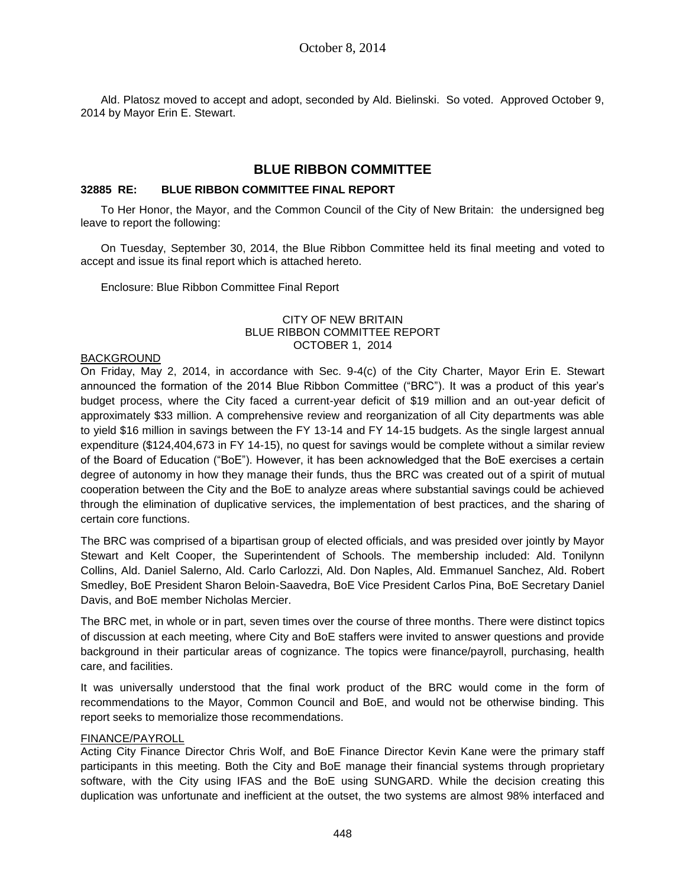Ald. Platosz moved to accept and adopt, seconded by Ald. Bielinski. So voted. Approved October 9, 2014 by Mayor Erin E. Stewart.

# **BLUE RIBBON COMMITTEE**

## **32885 RE: BLUE RIBBON COMMITTEE FINAL REPORT**

To Her Honor, the Mayor, and the Common Council of the City of New Britain: the undersigned beg leave to report the following:

On Tuesday, September 30, 2014, the Blue Ribbon Committee held its final meeting and voted to accept and issue its final report which is attached hereto.

Enclosure: Blue Ribbon Committee Final Report

### CITY OF NEW BRITAIN BLUE RIBBON COMMITTEE REPORT OCTOBER 1, 2014

### BACKGROUND

On Friday, May 2, 2014, in accordance with Sec. 9-4(c) of the City Charter, Mayor Erin E. Stewart announced the formation of the 2014 Blue Ribbon Committee ("BRC"). It was a product of this year's budget process, where the City faced a current-year deficit of \$19 million and an out-year deficit of approximately \$33 million. A comprehensive review and reorganization of all City departments was able to yield \$16 million in savings between the FY 13-14 and FY 14-15 budgets. As the single largest annual expenditure (\$124,404,673 in FY 14-15), no quest for savings would be complete without a similar review of the Board of Education ("BoE"). However, it has been acknowledged that the BoE exercises a certain degree of autonomy in how they manage their funds, thus the BRC was created out of a spirit of mutual cooperation between the City and the BoE to analyze areas where substantial savings could be achieved through the elimination of duplicative services, the implementation of best practices, and the sharing of certain core functions.

The BRC was comprised of a bipartisan group of elected officials, and was presided over jointly by Mayor Stewart and Kelt Cooper, the Superintendent of Schools. The membership included: Ald. Tonilynn Collins, Ald. Daniel Salerno, Ald. Carlo Carlozzi, Ald. Don Naples, Ald. Emmanuel Sanchez, Ald. Robert Smedley, BoE President Sharon Beloin-Saavedra, BoE Vice President Carlos Pina, BoE Secretary Daniel Davis, and BoE member Nicholas Mercier.

The BRC met, in whole or in part, seven times over the course of three months. There were distinct topics of discussion at each meeting, where City and BoE staffers were invited to answer questions and provide background in their particular areas of cognizance. The topics were finance/payroll, purchasing, health care, and facilities.

It was universally understood that the final work product of the BRC would come in the form of recommendations to the Mayor, Common Council and BoE, and would not be otherwise binding. This report seeks to memorialize those recommendations.

## FINANCE/PAYROLL

Acting City Finance Director Chris Wolf, and BoE Finance Director Kevin Kane were the primary staff participants in this meeting. Both the City and BoE manage their financial systems through proprietary software, with the City using IFAS and the BoE using SUNGARD. While the decision creating this duplication was unfortunate and inefficient at the outset, the two systems are almost 98% interfaced and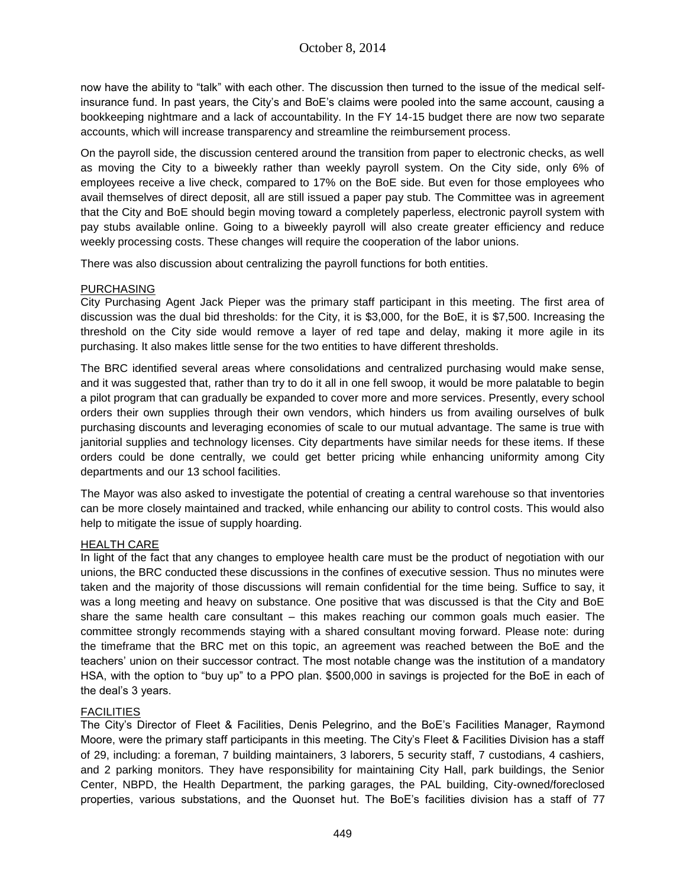now have the ability to "talk" with each other. The discussion then turned to the issue of the medical selfinsurance fund. In past years, the City's and BoE's claims were pooled into the same account, causing a bookkeeping nightmare and a lack of accountability. In the FY 14-15 budget there are now two separate accounts, which will increase transparency and streamline the reimbursement process.

On the payroll side, the discussion centered around the transition from paper to electronic checks, as well as moving the City to a biweekly rather than weekly payroll system. On the City side, only 6% of employees receive a live check, compared to 17% on the BoE side. But even for those employees who avail themselves of direct deposit, all are still issued a paper pay stub. The Committee was in agreement that the City and BoE should begin moving toward a completely paperless, electronic payroll system with pay stubs available online. Going to a biweekly payroll will also create greater efficiency and reduce weekly processing costs. These changes will require the cooperation of the labor unions.

There was also discussion about centralizing the payroll functions for both entities.

## PURCHASING

City Purchasing Agent Jack Pieper was the primary staff participant in this meeting. The first area of discussion was the dual bid thresholds: for the City, it is \$3,000, for the BoE, it is \$7,500. Increasing the threshold on the City side would remove a layer of red tape and delay, making it more agile in its purchasing. It also makes little sense for the two entities to have different thresholds.

The BRC identified several areas where consolidations and centralized purchasing would make sense, and it was suggested that, rather than try to do it all in one fell swoop, it would be more palatable to begin a pilot program that can gradually be expanded to cover more and more services. Presently, every school orders their own supplies through their own vendors, which hinders us from availing ourselves of bulk purchasing discounts and leveraging economies of scale to our mutual advantage. The same is true with janitorial supplies and technology licenses. City departments have similar needs for these items. If these orders could be done centrally, we could get better pricing while enhancing uniformity among City departments and our 13 school facilities.

The Mayor was also asked to investigate the potential of creating a central warehouse so that inventories can be more closely maintained and tracked, while enhancing our ability to control costs. This would also help to mitigate the issue of supply hoarding.

## HEALTH CARE

In light of the fact that any changes to employee health care must be the product of negotiation with our unions, the BRC conducted these discussions in the confines of executive session. Thus no minutes were taken and the majority of those discussions will remain confidential for the time being. Suffice to say, it was a long meeting and heavy on substance. One positive that was discussed is that the City and BoE share the same health care consultant – this makes reaching our common goals much easier. The committee strongly recommends staying with a shared consultant moving forward. Please note: during the timeframe that the BRC met on this topic, an agreement was reached between the BoE and the teachers' union on their successor contract. The most notable change was the institution of a mandatory HSA, with the option to "buy up" to a PPO plan. \$500,000 in savings is projected for the BoE in each of the deal's 3 years.

# **FACILITIES**

The City's Director of Fleet & Facilities, Denis Pelegrino, and the BoE's Facilities Manager, Raymond Moore, were the primary staff participants in this meeting. The City's Fleet & Facilities Division has a staff of 29, including: a foreman, 7 building maintainers, 3 laborers, 5 security staff, 7 custodians, 4 cashiers, and 2 parking monitors. They have responsibility for maintaining City Hall, park buildings, the Senior Center, NBPD, the Health Department, the parking garages, the PAL building, City-owned/foreclosed properties, various substations, and the Quonset hut. The BoE's facilities division has a staff of 77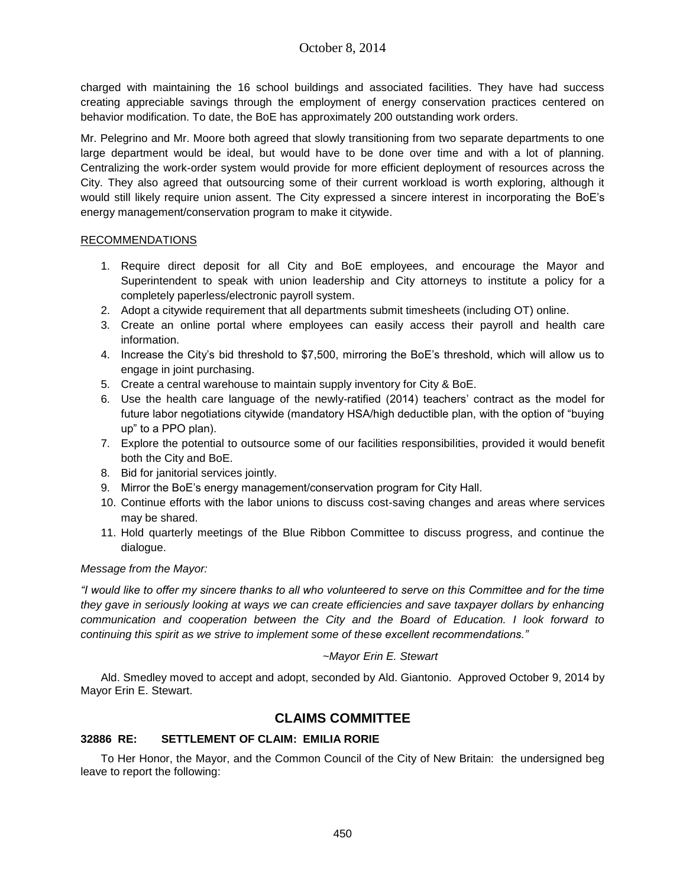charged with maintaining the 16 school buildings and associated facilities. They have had success creating appreciable savings through the employment of energy conservation practices centered on behavior modification. To date, the BoE has approximately 200 outstanding work orders.

Mr. Pelegrino and Mr. Moore both agreed that slowly transitioning from two separate departments to one large department would be ideal, but would have to be done over time and with a lot of planning. Centralizing the work-order system would provide for more efficient deployment of resources across the City. They also agreed that outsourcing some of their current workload is worth exploring, although it would still likely require union assent. The City expressed a sincere interest in incorporating the BoE's energy management/conservation program to make it citywide.

## RECOMMENDATIONS

- 1. Require direct deposit for all City and BoE employees, and encourage the Mayor and Superintendent to speak with union leadership and City attorneys to institute a policy for a completely paperless/electronic payroll system.
- 2. Adopt a citywide requirement that all departments submit timesheets (including OT) online.
- 3. Create an online portal where employees can easily access their payroll and health care information.
- 4. Increase the City's bid threshold to \$7,500, mirroring the BoE's threshold, which will allow us to engage in joint purchasing.
- 5. Create a central warehouse to maintain supply inventory for City & BoE.
- 6. Use the health care language of the newly-ratified (2014) teachers' contract as the model for future labor negotiations citywide (mandatory HSA/high deductible plan, with the option of "buying up" to a PPO plan).
- 7. Explore the potential to outsource some of our facilities responsibilities, provided it would benefit both the City and BoE.
- 8. Bid for janitorial services jointly.
- 9. Mirror the BoE's energy management/conservation program for City Hall.
- 10. Continue efforts with the labor unions to discuss cost-saving changes and areas where services may be shared.
- 11. Hold quarterly meetings of the Blue Ribbon Committee to discuss progress, and continue the dialogue.

# *Message from the Mayor:*

*"I would like to offer my sincere thanks to all who volunteered to serve on this Committee and for the time they gave in seriously looking at ways we can create efficiencies and save taxpayer dollars by enhancing communication and cooperation between the City and the Board of Education. I look forward to continuing this spirit as we strive to implement some of these excellent recommendations."*

# *~Mayor Erin E. Stewart*

Ald. Smedley moved to accept and adopt, seconded by Ald. Giantonio. Approved October 9, 2014 by Mayor Erin E. Stewart.

# **CLAIMS COMMITTEE**

# **32886 RE: SETTLEMENT OF CLAIM: EMILIA RORIE**

To Her Honor, the Mayor, and the Common Council of the City of New Britain: the undersigned beg leave to report the following: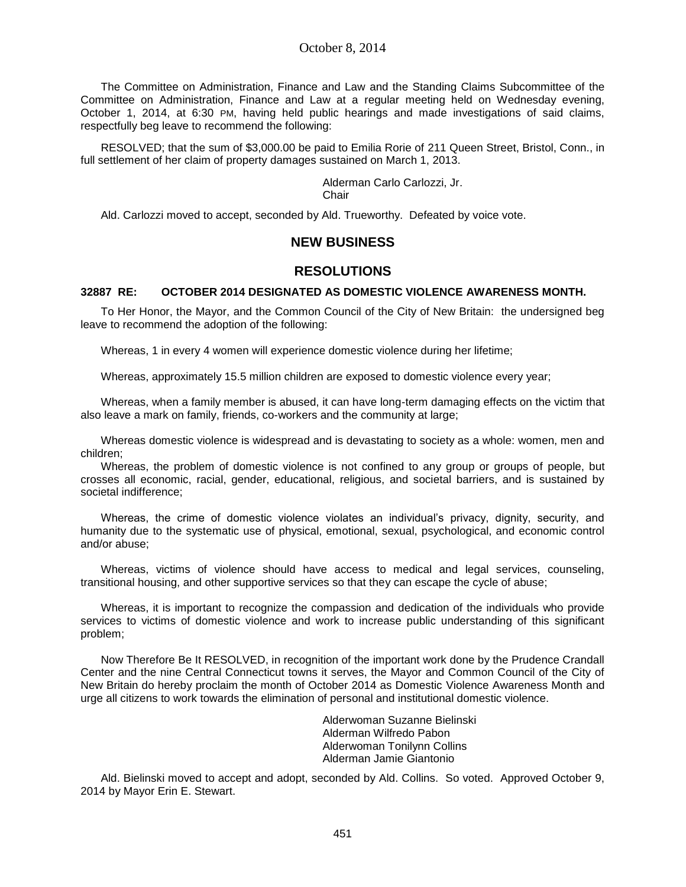The Committee on Administration, Finance and Law and the Standing Claims Subcommittee of the Committee on Administration, Finance and Law at a regular meeting held on Wednesday evening, October 1, 2014, at 6:30 PM, having held public hearings and made investigations of said claims, respectfully beg leave to recommend the following:

RESOLVED; that the sum of \$3,000.00 be paid to Emilia Rorie of 211 Queen Street, Bristol, Conn., in full settlement of her claim of property damages sustained on March 1, 2013.

Alderman Carlo Carlozzi, Jr.

**Chair** 

Ald. Carlozzi moved to accept, seconded by Ald. Trueworthy. Defeated by voice vote.

# **NEW BUSINESS**

# **RESOLUTIONS**

## **32887 RE: OCTOBER 2014 DESIGNATED AS DOMESTIC VIOLENCE AWARENESS MONTH.**

To Her Honor, the Mayor, and the Common Council of the City of New Britain: the undersigned beg leave to recommend the adoption of the following:

Whereas, 1 in every 4 women will experience domestic violence during her lifetime;

Whereas, approximately 15.5 million children are exposed to domestic violence every year;

Whereas, when a family member is abused, it can have long-term damaging effects on the victim that also leave a mark on family, friends, co-workers and the community at large;

Whereas domestic violence is widespread and is devastating to society as a whole: women, men and children;

Whereas, the problem of domestic violence is not confined to any group or groups of people, but crosses all economic, racial, gender, educational, religious, and societal barriers, and is sustained by societal indifference;

Whereas, the crime of domestic violence violates an individual's privacy, dignity, security, and humanity due to the systematic use of physical, emotional, sexual, psychological, and economic control and/or abuse;

Whereas, victims of violence should have access to medical and legal services, counseling, transitional housing, and other supportive services so that they can escape the cycle of abuse;

Whereas, it is important to recognize the compassion and dedication of the individuals who provide services to victims of domestic violence and work to increase public understanding of this significant problem;

Now Therefore Be It RESOLVED, in recognition of the important work done by the Prudence Crandall Center and the nine Central Connecticut towns it serves, the Mayor and Common Council of the City of New Britain do hereby proclaim the month of October 2014 as Domestic Violence Awareness Month and urge all citizens to work towards the elimination of personal and institutional domestic violence.

> Alderwoman Suzanne Bielinski Alderman Wilfredo Pabon Alderwoman Tonilynn Collins Alderman Jamie Giantonio

Ald. Bielinski moved to accept and adopt, seconded by Ald. Collins. So voted. Approved October 9, 2014 by Mayor Erin E. Stewart.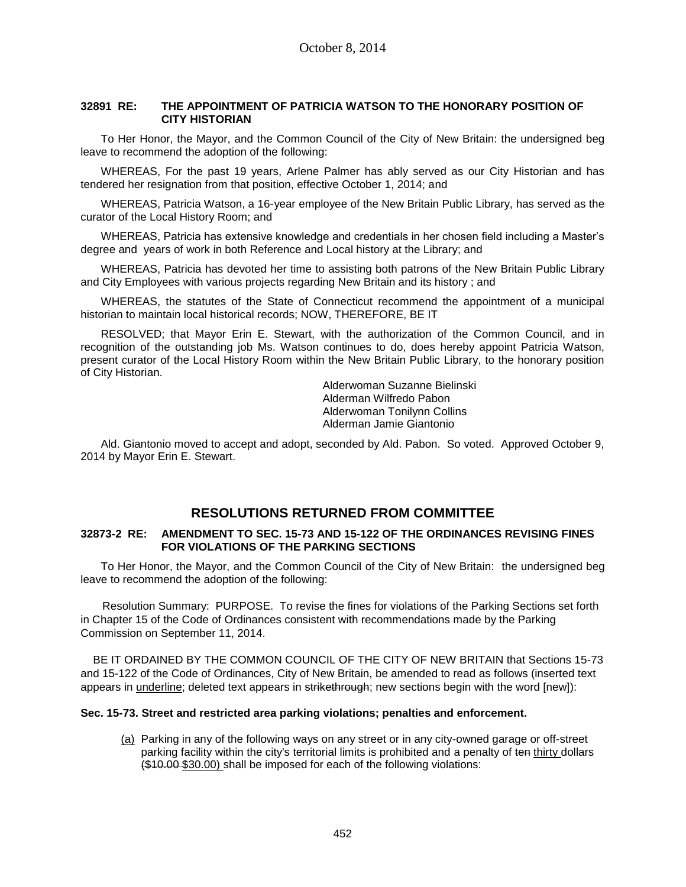## **32891 RE: THE APPOINTMENT OF PATRICIA WATSON TO THE HONORARY POSITION OF CITY HISTORIAN**

To Her Honor, the Mayor, and the Common Council of the City of New Britain: the undersigned beg leave to recommend the adoption of the following:

WHEREAS, For the past 19 years, Arlene Palmer has ably served as our City Historian and has tendered her resignation from that position, effective October 1, 2014; and

WHEREAS, Patricia Watson, a 16-year employee of the New Britain Public Library, has served as the curator of the Local History Room; and

WHEREAS, Patricia has extensive knowledge and credentials in her chosen field including a Master's degree and years of work in both Reference and Local history at the Library; and

WHEREAS, Patricia has devoted her time to assisting both patrons of the New Britain Public Library and City Employees with various projects regarding New Britain and its history ; and

WHEREAS, the statutes of the State of Connecticut recommend the appointment of a municipal historian to maintain local historical records; NOW, THEREFORE, BE IT

RESOLVED; that Mayor Erin E. Stewart, with the authorization of the Common Council, and in recognition of the outstanding job Ms. Watson continues to do, does hereby appoint Patricia Watson, present curator of the Local History Room within the New Britain Public Library, to the honorary position of City Historian.

> Alderwoman Suzanne Bielinski Alderman Wilfredo Pabon Alderwoman Tonilynn Collins Alderman Jamie Giantonio

Ald. Giantonio moved to accept and adopt, seconded by Ald. Pabon. So voted. Approved October 9, 2014 by Mayor Erin E. Stewart.

# **RESOLUTIONS RETURNED FROM COMMITTEE**

## **32873-2 RE: AMENDMENT TO SEC. 15-73 AND 15-122 OF THE ORDINANCES REVISING FINES FOR VIOLATIONS OF THE PARKING SECTIONS**

To Her Honor, the Mayor, and the Common Council of the City of New Britain: the undersigned beg leave to recommend the adoption of the following:

 Resolution Summary: PURPOSE. To revise the fines for violations of the Parking Sections set forth in Chapter 15 of the Code of Ordinances consistent with recommendations made by the Parking Commission on September 11, 2014.

 BE IT ORDAINED BY THE COMMON COUNCIL OF THE CITY OF NEW BRITAIN that Sections 15-73 and 15-122 of the Code of Ordinances, City of New Britain, be amended to read as follows (inserted text appears in underline; deleted text appears in strikethrough; new sections begin with the word [new]):

## **Sec. 15-73. Street and restricted area parking violations; penalties and enforcement.**

(a) Parking in any of the following ways on any street or in any city-owned garage or off-street parking facility within the city's territorial limits is prohibited and a penalty of ten thirty dollars (\$10.00 \$30.00) shall be imposed for each of the following violations: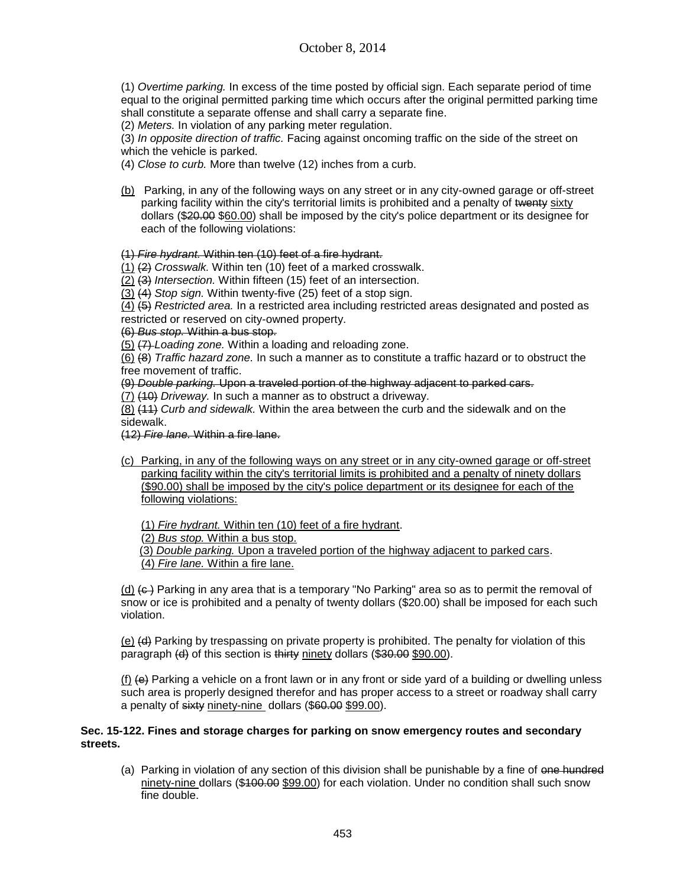(1) *Overtime parking.* In excess of the time posted by official sign. Each separate period of time equal to the original permitted parking time which occurs after the original permitted parking time shall constitute a separate offense and shall carry a separate fine.

(2) *Meters.* In violation of any parking meter regulation.

(3) *In opposite direction of traffic.* Facing against oncoming traffic on the side of the street on which the vehicle is parked.

(4) *Close to curb.* More than twelve (12) inches from a curb.

(b) Parking, in any of the following ways on any street or in any city-owned garage or off-street parking facility within the city's territorial limits is prohibited and a penalty of twenty sixty dollars (\$20.00 \$60.00) shall be imposed by the city's police department or its designee for each of the following violations:

## (1) *Fire hydrant.* Within ten (10) feet of a fire hydrant.

(1) (2) *Crosswalk.* Within ten (10) feet of a marked crosswalk.

(2) (3) *Intersection.* Within fifteen (15) feet of an intersection.

(3) (4) *Stop sign.* Within twenty-five (25) feet of a stop sign.

(4) (5) *Restricted area.* In a restricted area including restricted areas designated and posted as restricted or reserved on city-owned property.

(6) *Bus stop.* Within a bus stop.

(5) (7) *Loading zone.* Within a loading and reloading zone.

(6) (8) *Traffic hazard zone.* In such a manner as to constitute a traffic hazard or to obstruct the free movement of traffic.

(9) *Double parking.* Upon a traveled portion of the highway adjacent to parked cars.

(7) (10) *Driveway.* In such a manner as to obstruct a driveway.

(8) (11) *Curb and sidewalk.* Within the area between the curb and the sidewalk and on the sidewalk.

(12) *Fire lane.* Within a fire lane.

(c) Parking, in any of the following ways on any street or in any city-owned garage or off-street parking facility within the city's territorial limits is prohibited and a penalty of ninety dollars (\$90.00) shall be imposed by the city's police department or its designee for each of the following violations:

(1) *Fire hydrant.* Within ten (10) feet of a fire hydrant.

(2) *Bus stop.* Within a bus stop.

(3) *Double parking.* Upon a traveled portion of the highway adjacent to parked cars.

(4) *Fire lane.* Within a fire lane.

(d)  $\left(\frac{c}{c}\right)$  Parking in any area that is a temporary "No Parking" area so as to permit the removal of snow or ice is prohibited and a penalty of twenty dollars (\$20.00) shall be imposed for each such violation.

(e) (d) Parking by trespassing on private property is prohibited. The penalty for violation of this paragraph (d) of this section is thirty ninety dollars (\$30.00 \$90.00).

(f)  $(e)$  Parking a vehicle on a front lawn or in any front or side yard of a building or dwelling unless such area is properly designed therefor and has proper access to a street or roadway shall carry a penalty of sixty ninety-nine dollars (\$60.00 \$99.00).

## **Sec. 15-122. Fines and storage charges for parking on snow emergency routes and secondary streets.**

(a) Parking in violation of any section of this division shall be punishable by a fine of one hundred ninety-nine dollars (\$100.00 \$99.00) for each violation. Under no condition shall such snow fine double.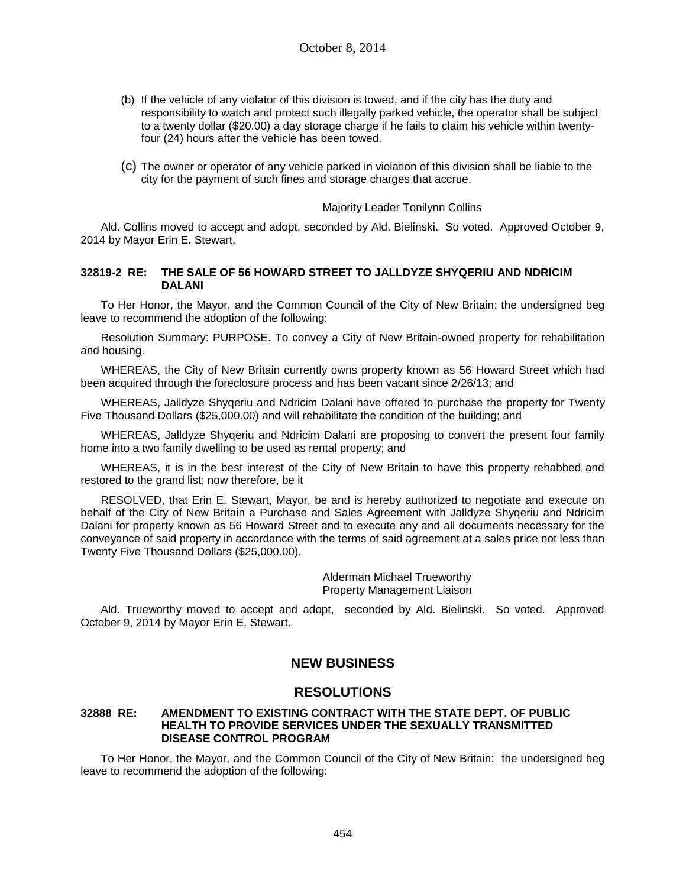- (b) If the vehicle of any violator of this division is towed, and if the city has the duty and responsibility to watch and protect such illegally parked vehicle, the operator shall be subject to a twenty dollar (\$20.00) a day storage charge if he fails to claim his vehicle within twentyfour (24) hours after the vehicle has been towed.
- (c) The owner or operator of any vehicle parked in violation of this division shall be liable to the city for the payment of such fines and storage charges that accrue.

## Majority Leader Tonilynn Collins

Ald. Collins moved to accept and adopt, seconded by Ald. Bielinski. So voted. Approved October 9, 2014 by Mayor Erin E. Stewart.

## **32819-2 RE: THE SALE OF 56 HOWARD STREET TO JALLDYZE SHYQERIU AND NDRICIM DALANI**

To Her Honor, the Mayor, and the Common Council of the City of New Britain: the undersigned beg leave to recommend the adoption of the following:

Resolution Summary: PURPOSE. To convey a City of New Britain-owned property for rehabilitation and housing.

WHEREAS, the City of New Britain currently owns property known as 56 Howard Street which had been acquired through the foreclosure process and has been vacant since 2/26/13; and

WHEREAS, Jalldyze Shyqeriu and Ndricim Dalani have offered to purchase the property for Twenty Five Thousand Dollars (\$25,000.00) and will rehabilitate the condition of the building; and

WHEREAS, Jalldyze Shyqeriu and Ndricim Dalani are proposing to convert the present four family home into a two family dwelling to be used as rental property; and

WHEREAS, it is in the best interest of the City of New Britain to have this property rehabbed and restored to the grand list; now therefore, be it

RESOLVED, that Erin E. Stewart, Mayor, be and is hereby authorized to negotiate and execute on behalf of the City of New Britain a Purchase and Sales Agreement with Jalldyze Shyqeriu and Ndricim Dalani for property known as 56 Howard Street and to execute any and all documents necessary for the conveyance of said property in accordance with the terms of said agreement at a sales price not less than Twenty Five Thousand Dollars (\$25,000.00).

> Alderman Michael Trueworthy Property Management Liaison

Ald. Trueworthy moved to accept and adopt, seconded by Ald. Bielinski. So voted. Approved October 9, 2014 by Mayor Erin E. Stewart.

# **NEW BUSINESS**

## **RESOLUTIONS**

## **32888 RE: AMENDMENT TO EXISTING CONTRACT WITH THE STATE DEPT. OF PUBLIC HEALTH TO PROVIDE SERVICES UNDER THE SEXUALLY TRANSMITTED DISEASE CONTROL PROGRAM**

To Her Honor, the Mayor, and the Common Council of the City of New Britain: the undersigned beg leave to recommend the adoption of the following: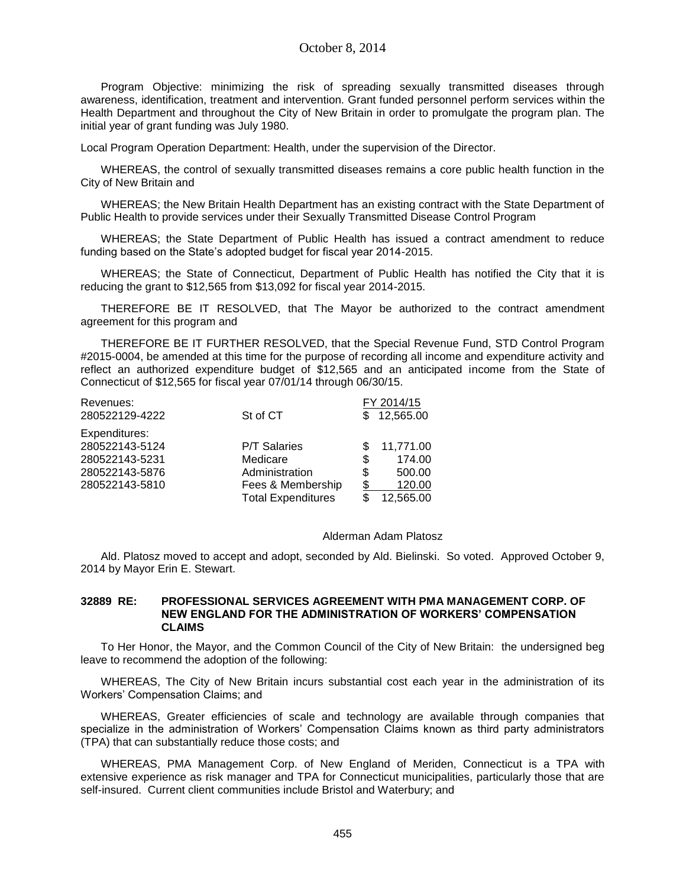Program Objective: minimizing the risk of spreading sexually transmitted diseases through awareness, identification, treatment and intervention. Grant funded personnel perform services within the Health Department and throughout the City of New Britain in order to promulgate the program plan. The initial year of grant funding was July 1980.

Local Program Operation Department: Health, under the supervision of the Director.

WHEREAS, the control of sexually transmitted diseases remains a core public health function in the City of New Britain and

WHEREAS; the New Britain Health Department has an existing contract with the State Department of Public Health to provide services under their Sexually Transmitted Disease Control Program

WHEREAS; the State Department of Public Health has issued a contract amendment to reduce funding based on the State's adopted budget for fiscal year 2014-2015.

WHEREAS; the State of Connecticut, Department of Public Health has notified the City that it is reducing the grant to \$12,565 from \$13,092 for fiscal year 2014-2015.

THEREFORE BE IT RESOLVED, that The Mayor be authorized to the contract amendment agreement for this program and

THEREFORE BE IT FURTHER RESOLVED, that the Special Revenue Fund, STD Control Program #2015-0004, be amended at this time for the purpose of recording all income and expenditure activity and reflect an authorized expenditure budget of \$12,565 and an anticipated income from the State of Connecticut of \$12,565 for fiscal year 07/01/14 through 06/30/15.

| Revenues:      |                           | FY 2014/15   |
|----------------|---------------------------|--------------|
| 280522129-4222 | St of CT                  | \$12,565.00  |
| Expenditures:  |                           |              |
| 280522143-5124 | <b>P/T Salaries</b>       | 11,771.00    |
| 280522143-5231 | Medicare                  | \$<br>174.00 |
| 280522143-5876 | Administration            | S<br>500.00  |
| 280522143-5810 | Fees & Membership         | S<br>120.00  |
|                | <b>Total Expenditures</b> | 12,565.00    |

#### Alderman Adam Platosz

Ald. Platosz moved to accept and adopt, seconded by Ald. Bielinski. So voted. Approved October 9, 2014 by Mayor Erin E. Stewart.

#### **32889 RE: PROFESSIONAL SERVICES AGREEMENT WITH PMA MANAGEMENT CORP. OF NEW ENGLAND FOR THE ADMINISTRATION OF WORKERS' COMPENSATION CLAIMS**

To Her Honor, the Mayor, and the Common Council of the City of New Britain: the undersigned beg leave to recommend the adoption of the following:

WHEREAS, The City of New Britain incurs substantial cost each year in the administration of its Workers' Compensation Claims; and

WHEREAS, Greater efficiencies of scale and technology are available through companies that specialize in the administration of Workers' Compensation Claims known as third party administrators (TPA) that can substantially reduce those costs; and

WHEREAS, PMA Management Corp. of New England of Meriden, Connecticut is a TPA with extensive experience as risk manager and TPA for Connecticut municipalities, particularly those that are self-insured. Current client communities include Bristol and Waterbury; and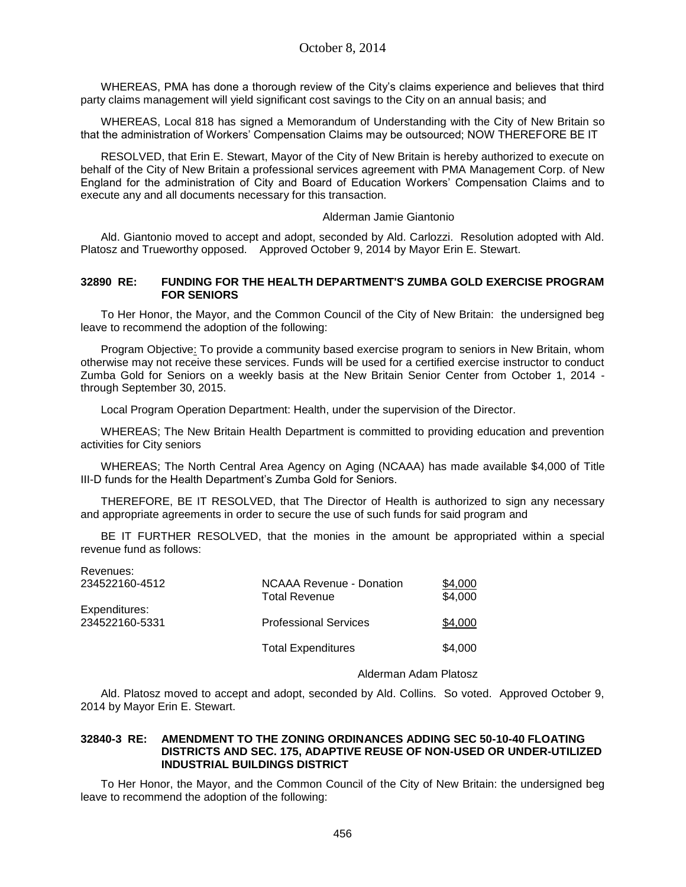WHEREAS, PMA has done a thorough review of the City's claims experience and believes that third party claims management will yield significant cost savings to the City on an annual basis; and

WHEREAS, Local 818 has signed a Memorandum of Understanding with the City of New Britain so that the administration of Workers' Compensation Claims may be outsourced; NOW THEREFORE BE IT

RESOLVED, that Erin E. Stewart, Mayor of the City of New Britain is hereby authorized to execute on behalf of the City of New Britain a professional services agreement with PMA Management Corp. of New England for the administration of City and Board of Education Workers' Compensation Claims and to execute any and all documents necessary for this transaction.

### Alderman Jamie Giantonio

Ald. Giantonio moved to accept and adopt, seconded by Ald. Carlozzi. Resolution adopted with Ald. Platosz and Trueworthy opposed. Approved October 9, 2014 by Mayor Erin E. Stewart.

### **32890 RE: FUNDING FOR THE HEALTH DEPARTMENT'S ZUMBA GOLD EXERCISE PROGRAM FOR SENIORS**

To Her Honor, the Mayor, and the Common Council of the City of New Britain: the undersigned beg leave to recommend the adoption of the following:

Program Objective: To provide a community based exercise program to seniors in New Britain, whom otherwise may not receive these services. Funds will be used for a certified exercise instructor to conduct Zumba Gold for Seniors on a weekly basis at the New Britain Senior Center from October 1, 2014 through September 30, 2015.

Local Program Operation Department: Health, under the supervision of the Director.

WHEREAS; The New Britain Health Department is committed to providing education and prevention activities for City seniors

WHEREAS; The North Central Area Agency on Aging (NCAAA) has made available \$4,000 of Title III-D funds for the Health Department's Zumba Gold for Seniors.

THEREFORE, BE IT RESOLVED, that The Director of Health is authorized to sign any necessary and appropriate agreements in order to secure the use of such funds for said program and

BE IT FURTHER RESOLVED, that the monies in the amount be appropriated within a special revenue fund as follows:

| .<br>234522160-4512             | <b>NCAAA Revenue - Donation</b><br><b>Total Revenue</b> | \$4,000<br>\$4,000 |
|---------------------------------|---------------------------------------------------------|--------------------|
| Expenditures:<br>234522160-5331 | <b>Professional Services</b>                            | \$4,000            |
|                                 | <b>Total Expenditures</b>                               | \$4,000            |

Revenues:

## Alderman Adam Platosz

Ald. Platosz moved to accept and adopt, seconded by Ald. Collins. So voted. Approved October 9, 2014 by Mayor Erin E. Stewart.

## **32840-3 RE: AMENDMENT TO THE ZONING ORDINANCES ADDING SEC 50-10-40 FLOATING DISTRICTS AND SEC. 175, ADAPTIVE REUSE OF NON-USED OR UNDER-UTILIZED INDUSTRIAL BUILDINGS DISTRICT**

To Her Honor, the Mayor, and the Common Council of the City of New Britain: the undersigned beg leave to recommend the adoption of the following: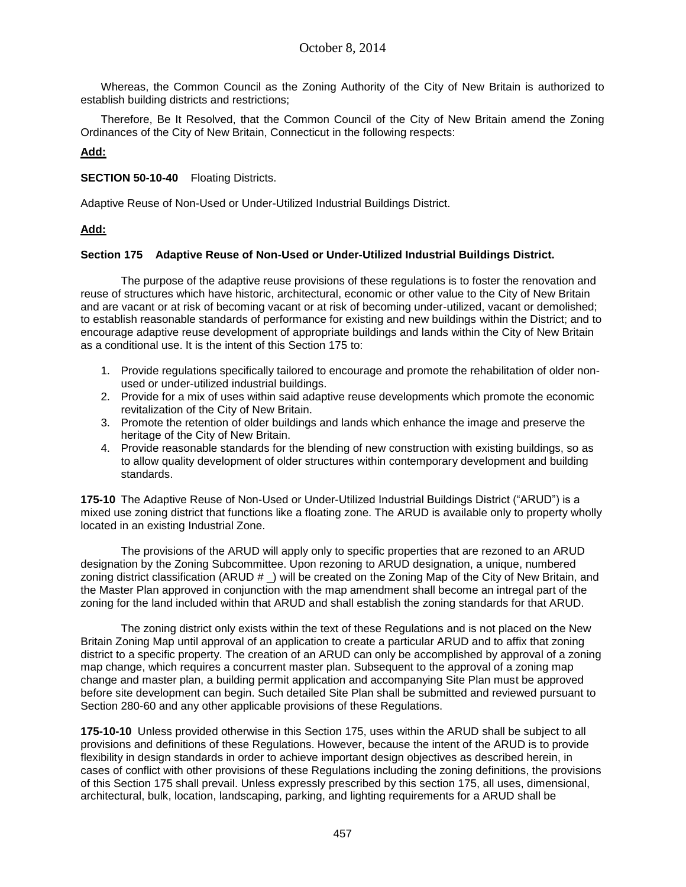Whereas, the Common Council as the Zoning Authority of the City of New Britain is authorized to establish building districts and restrictions;

Therefore, Be It Resolved, that the Common Council of the City of New Britain amend the Zoning Ordinances of the City of New Britain, Connecticut in the following respects:

## **Add:**

**SECTION 50-10-40** Floating Districts.

Adaptive Reuse of Non-Used or Under-Utilized Industrial Buildings District.

# **Add:**

## **Section 175 Adaptive Reuse of Non-Used or Under-Utilized Industrial Buildings District.**

The purpose of the adaptive reuse provisions of these regulations is to foster the renovation and reuse of structures which have historic, architectural, economic or other value to the City of New Britain and are vacant or at risk of becoming vacant or at risk of becoming under-utilized, vacant or demolished; to establish reasonable standards of performance for existing and new buildings within the District; and to encourage adaptive reuse development of appropriate buildings and lands within the City of New Britain as a conditional use. It is the intent of this Section 175 to:

- 1. Provide regulations specifically tailored to encourage and promote the rehabilitation of older nonused or under-utilized industrial buildings.
- 2. Provide for a mix of uses within said adaptive reuse developments which promote the economic revitalization of the City of New Britain.
- 3. Promote the retention of older buildings and lands which enhance the image and preserve the heritage of the City of New Britain.
- 4. Provide reasonable standards for the blending of new construction with existing buildings, so as to allow quality development of older structures within contemporary development and building standards.

**175-10** The Adaptive Reuse of Non-Used or Under-Utilized Industrial Buildings District ("ARUD") is a mixed use zoning district that functions like a floating zone. The ARUD is available only to property wholly located in an existing Industrial Zone.

The provisions of the ARUD will apply only to specific properties that are rezoned to an ARUD designation by the Zoning Subcommittee. Upon rezoning to ARUD designation, a unique, numbered zoning district classification (ARUD  $#$ ) will be created on the Zoning Map of the City of New Britain, and the Master Plan approved in conjunction with the map amendment shall become an intregal part of the zoning for the land included within that ARUD and shall establish the zoning standards for that ARUD.

The zoning district only exists within the text of these Regulations and is not placed on the New Britain Zoning Map until approval of an application to create a particular ARUD and to affix that zoning district to a specific property. The creation of an ARUD can only be accomplished by approval of a zoning map change, which requires a concurrent master plan. Subsequent to the approval of a zoning map change and master plan, a building permit application and accompanying Site Plan must be approved before site development can begin. Such detailed Site Plan shall be submitted and reviewed pursuant to Section 280-60 and any other applicable provisions of these Regulations.

**175-10-10** Unless provided otherwise in this Section 175, uses within the ARUD shall be subject to all provisions and definitions of these Regulations. However, because the intent of the ARUD is to provide flexibility in design standards in order to achieve important design objectives as described herein, in cases of conflict with other provisions of these Regulations including the zoning definitions, the provisions of this Section 175 shall prevail. Unless expressly prescribed by this section 175, all uses, dimensional, architectural, bulk, location, landscaping, parking, and lighting requirements for a ARUD shall be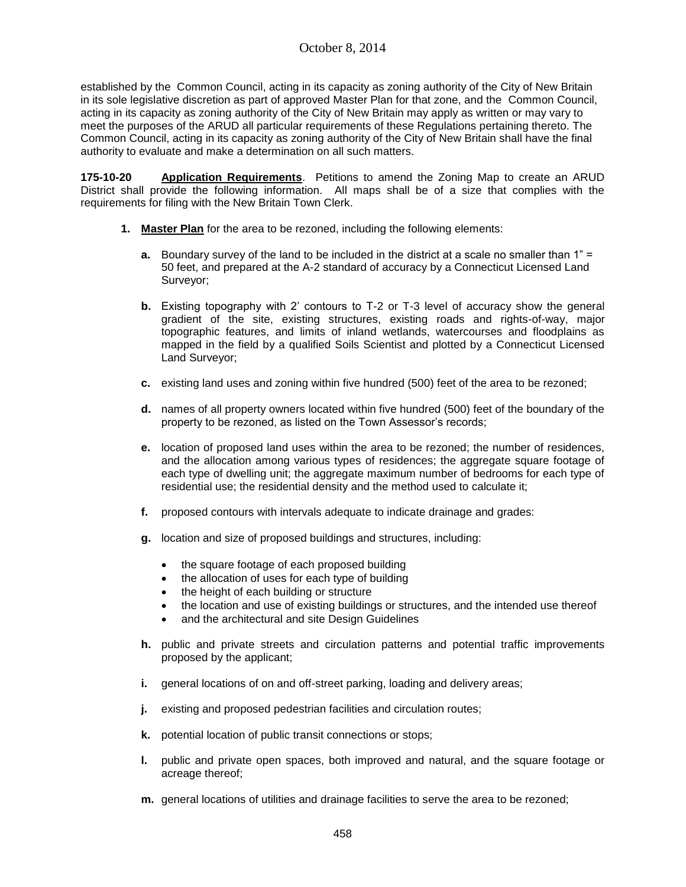established by the Common Council, acting in its capacity as zoning authority of the City of New Britain in its sole legislative discretion as part of approved Master Plan for that zone, and the Common Council, acting in its capacity as zoning authority of the City of New Britain may apply as written or may vary to meet the purposes of the ARUD all particular requirements of these Regulations pertaining thereto. The Common Council, acting in its capacity as zoning authority of the City of New Britain shall have the final authority to evaluate and make a determination on all such matters.

**175-10-20 Application Requirements**. Petitions to amend the Zoning Map to create an ARUD District shall provide the following information. All maps shall be of a size that complies with the requirements for filing with the New Britain Town Clerk.

- **1. Master Plan** for the area to be rezoned, including the following elements:
	- **a.** Boundary survey of the land to be included in the district at a scale no smaller than 1<sup>"</sup> 50 feet, and prepared at the A-2 standard of accuracy by a Connecticut Licensed Land Surveyor;
	- **b.** Existing topography with 2' contours to T-2 or T-3 level of accuracy show the general gradient of the site, existing structures, existing roads and rights-of-way, major topographic features, and limits of inland wetlands, watercourses and floodplains as mapped in the field by a qualified Soils Scientist and plotted by a Connecticut Licensed Land Surveyor;
	- **c.** existing land uses and zoning within five hundred (500) feet of the area to be rezoned;
	- **d.** names of all property owners located within five hundred (500) feet of the boundary of the property to be rezoned, as listed on the Town Assessor's records;
	- **e.** location of proposed land uses within the area to be rezoned; the number of residences, and the allocation among various types of residences; the aggregate square footage of each type of dwelling unit; the aggregate maximum number of bedrooms for each type of residential use; the residential density and the method used to calculate it;
	- **f.** proposed contours with intervals adequate to indicate drainage and grades:
	- **g.** location and size of proposed buildings and structures, including:
		- the square footage of each proposed building
		- the allocation of uses for each type of building
		- the height of each building or structure
		- the location and use of existing buildings or structures, and the intended use thereof
		- and the architectural and site Design Guidelines
	- **h.** public and private streets and circulation patterns and potential traffic improvements proposed by the applicant;
	- **i.** general locations of on and off-street parking, loading and delivery areas;
	- **j.** existing and proposed pedestrian facilities and circulation routes;
	- **k.** potential location of public transit connections or stops;
	- **l.** public and private open spaces, both improved and natural, and the square footage or acreage thereof;
	- **m.** general locations of utilities and drainage facilities to serve the area to be rezoned;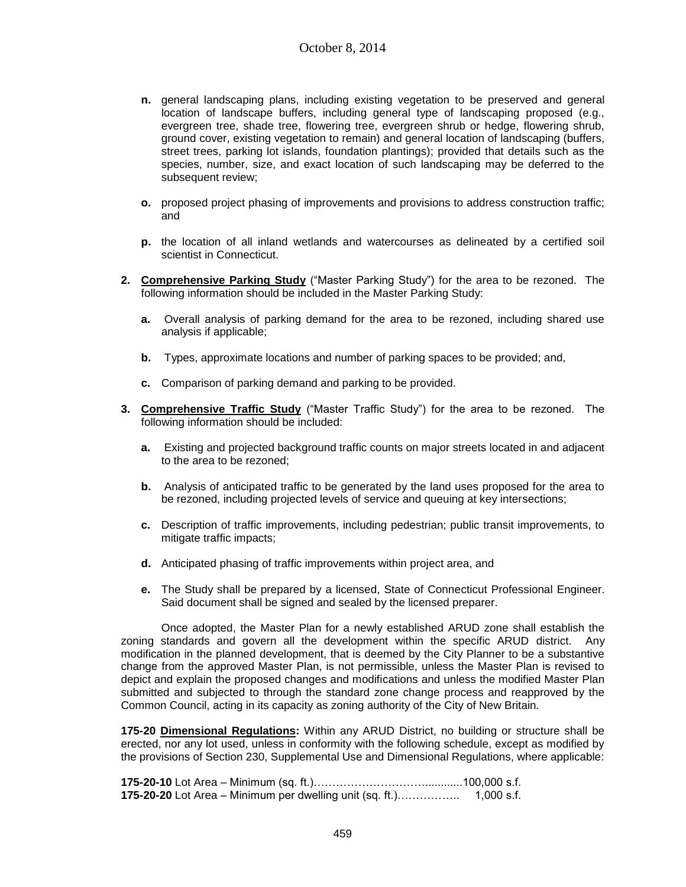- **n.** general landscaping plans, including existing vegetation to be preserved and general location of landscape buffers, including general type of landscaping proposed (e.g., evergreen tree, shade tree, flowering tree, evergreen shrub or hedge, flowering shrub, ground cover, existing vegetation to remain) and general location of landscaping (buffers, street trees, parking lot islands, foundation plantings); provided that details such as the species, number, size, and exact location of such landscaping may be deferred to the subsequent review;
- **o.** proposed project phasing of improvements and provisions to address construction traffic; and
- **p.** the location of all inland wetlands and watercourses as delineated by a certified soil scientist in Connecticut.
- **2. Comprehensive Parking Study** ("Master Parking Study") for the area to be rezoned. The following information should be included in the Master Parking Study:
	- **a.** Overall analysis of parking demand for the area to be rezoned, including shared use analysis if applicable;
	- **b.** Types, approximate locations and number of parking spaces to be provided; and,
	- **c.** Comparison of parking demand and parking to be provided.
- **3. Comprehensive Traffic Study** ("Master Traffic Study") for the area to be rezoned. The following information should be included:
	- **a.** Existing and projected background traffic counts on major streets located in and adjacent to the area to be rezoned;
	- **b.** Analysis of anticipated traffic to be generated by the land uses proposed for the area to be rezoned, including projected levels of service and queuing at key intersections;
	- **c.** Description of traffic improvements, including pedestrian; public transit improvements, to mitigate traffic impacts;
	- **d.** Anticipated phasing of traffic improvements within project area, and
	- **e.** The Study shall be prepared by a licensed, State of Connecticut Professional Engineer. Said document shall be signed and sealed by the licensed preparer.

Once adopted, the Master Plan for a newly established ARUD zone shall establish the zoning standards and govern all the development within the specific ARUD district. Any modification in the planned development, that is deemed by the City Planner to be a substantive change from the approved Master Plan, is not permissible, unless the Master Plan is revised to depict and explain the proposed changes and modifications and unless the modified Master Plan submitted and subjected to through the standard zone change process and reapproved by the Common Council, acting in its capacity as zoning authority of the City of New Britain.

**175-20 Dimensional Regulations:** Within any ARUD District, no building or structure shall be erected, nor any lot used, unless in conformity with the following schedule, except as modified by the provisions of Section 230, Supplemental Use and Dimensional Regulations, where applicable:

| 175-20-20 Lot Area – Minimum per dwelling unit (sq. ft.) | 1,000 s.f. |
|----------------------------------------------------------|------------|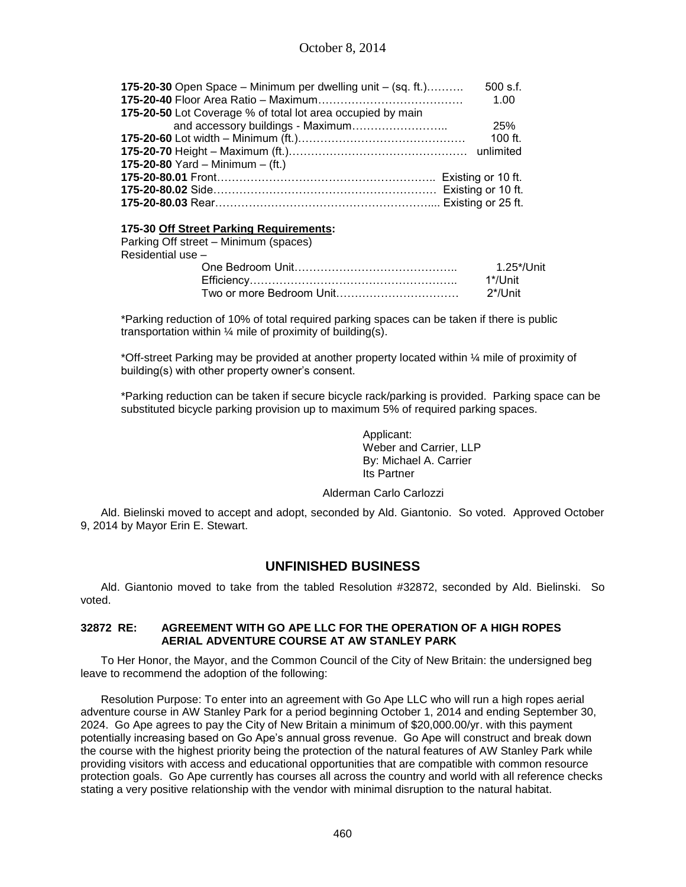| 175-20-30 Open Space - Minimum per dwelling unit - (sq. ft.) | $500$ s.f. |
|--------------------------------------------------------------|------------|
|                                                              | 1.00       |
| 175-20-50 Lot Coverage % of total lot area occupied by main  |            |
|                                                              | 25%        |
|                                                              | 100 $ft$ . |
|                                                              |            |
| 175-20-80 Yard – Minimum – (ft.)                             |            |
|                                                              |            |
|                                                              |            |
|                                                              |            |
|                                                              |            |

## **175-30 Off Street Parking Requirements:**

| Parking Off street – Minimum (spaces) |            |
|---------------------------------------|------------|
| Residential use -                     |            |
|                                       | 1.25*/Unit |
|                                       | 1*/l Jnit  |
|                                       | 2*/Unit    |

\*Parking reduction of 10% of total required parking spaces can be taken if there is public transportation within  $\frac{1}{4}$  mile of proximity of building(s).

\*Off-street Parking may be provided at another property located within ¼ mile of proximity of building(s) with other property owner's consent.

\*Parking reduction can be taken if secure bicycle rack/parking is provided. Parking space can be substituted bicycle parking provision up to maximum 5% of required parking spaces.

> Applicant: Weber and Carrier, LLP By: Michael A. Carrier Its Partner

## Alderman Carlo Carlozzi

Ald. Bielinski moved to accept and adopt, seconded by Ald. Giantonio. So voted. Approved October 9, 2014 by Mayor Erin E. Stewart.

# **UNFINISHED BUSINESS**

Ald. Giantonio moved to take from the tabled Resolution #32872, seconded by Ald. Bielinski. So voted.

## **32872 RE: AGREEMENT WITH GO APE LLC FOR THE OPERATION OF A HIGH ROPES AERIAL ADVENTURE COURSE AT AW STANLEY PARK**

To Her Honor, the Mayor, and the Common Council of the City of New Britain: the undersigned beg leave to recommend the adoption of the following:

Resolution Purpose: To enter into an agreement with Go Ape LLC who will run a high ropes aerial adventure course in AW Stanley Park for a period beginning October 1, 2014 and ending September 30, 2024. Go Ape agrees to pay the City of New Britain a minimum of \$20,000.00/yr. with this payment potentially increasing based on Go Ape's annual gross revenue. Go Ape will construct and break down the course with the highest priority being the protection of the natural features of AW Stanley Park while providing visitors with access and educational opportunities that are compatible with common resource protection goals. Go Ape currently has courses all across the country and world with all reference checks stating a very positive relationship with the vendor with minimal disruption to the natural habitat.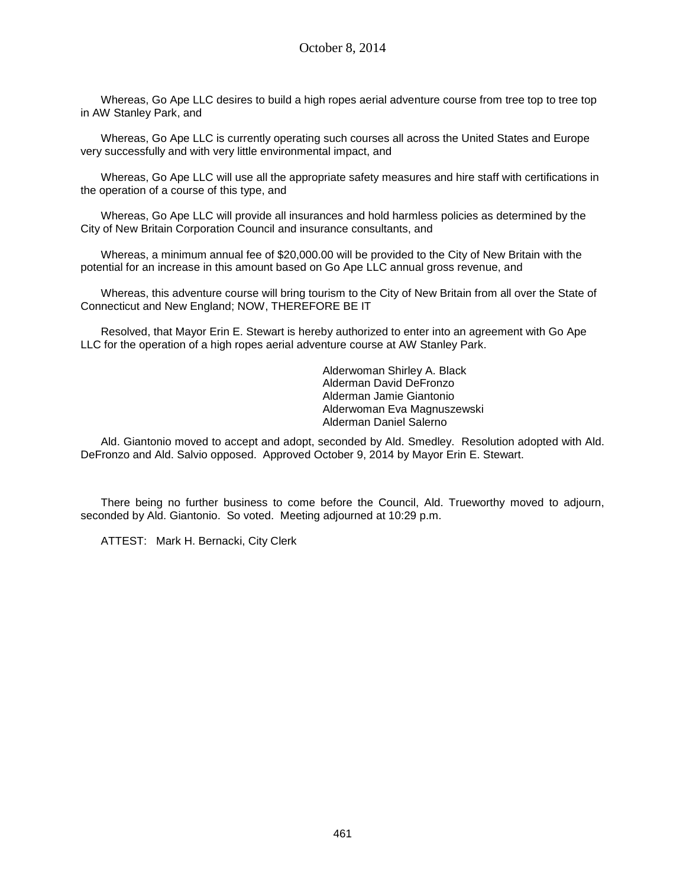Whereas, Go Ape LLC desires to build a high ropes aerial adventure course from tree top to tree top in AW Stanley Park, and

Whereas, Go Ape LLC is currently operating such courses all across the United States and Europe very successfully and with very little environmental impact, and

Whereas, Go Ape LLC will use all the appropriate safety measures and hire staff with certifications in the operation of a course of this type, and

Whereas, Go Ape LLC will provide all insurances and hold harmless policies as determined by the City of New Britain Corporation Council and insurance consultants, and

Whereas, a minimum annual fee of \$20,000.00 will be provided to the City of New Britain with the potential for an increase in this amount based on Go Ape LLC annual gross revenue, and

Whereas, this adventure course will bring tourism to the City of New Britain from all over the State of Connecticut and New England; NOW, THEREFORE BE IT

Resolved, that Mayor Erin E. Stewart is hereby authorized to enter into an agreement with Go Ape LLC for the operation of a high ropes aerial adventure course at AW Stanley Park.

> Alderwoman Shirley A. Black Alderman David DeFronzo Alderman Jamie Giantonio Alderwoman Eva Magnuszewski Alderman Daniel Salerno

Ald. Giantonio moved to accept and adopt, seconded by Ald. Smedley. Resolution adopted with Ald. DeFronzo and Ald. Salvio opposed. Approved October 9, 2014 by Mayor Erin E. Stewart.

There being no further business to come before the Council, Ald. Trueworthy moved to adjourn, seconded by Ald. Giantonio. So voted. Meeting adjourned at 10:29 p.m.

ATTEST: Mark H. Bernacki, City Clerk